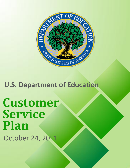

**U.S. Department of Education**

**Customer Service Plan** October 24, 2011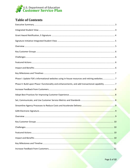

## **Table of Contents**

| Phase I: Update FSA's informational websites using in-house resources and retiring websites7    |  |
|-------------------------------------------------------------------------------------------------|--|
| Phase II: Build upon Phase I functionality and enhancements, and add transactional capability 7 |  |
|                                                                                                 |  |
|                                                                                                 |  |
|                                                                                                 |  |
|                                                                                                 |  |
|                                                                                                 |  |
|                                                                                                 |  |
|                                                                                                 |  |
|                                                                                                 |  |
|                                                                                                 |  |
|                                                                                                 |  |
|                                                                                                 |  |
|                                                                                                 |  |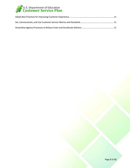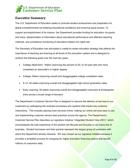<span id="page-3-0"></span>

## **Executive Summary**

The U.S. Department of Education seeks to promote student achievement and preparation for global competitiveness by fostering educational excellence and ensuring equal access. To support accomplishment of its mission, the Department provides funding for education via grants and loans, dissemination of information about educational performance and effective teaching methods, and compliance monitoring of education-related civil rights law.

The Secretary of Education has articulated a cradle-to-career education strategy that reflects the importance of teaching and learning at all levels of the education system and is designed to achieve the following goals over the next two years.

- College Attainment: Nation improving the percent of 25- to 34-year-olds who have completed an associate's or higher degree.
- College: Nation improving overall and disaggregated college completion rates.
- K-12: All states improving overall and disaggregated high school graduation rates.
- Early Learning: All states improving overall and disaggregated outcomes at kindergarten entry across a broad range of domains.

The Department's Customer Service Plan is designed to improve the delivery of services to our customers by redesigning the business processes and systems that impact key customer interactions. This includes placing more services online, making our online services easy to use and implementing customer service best practices across the agency. The Department's Customer Service Plan describes our signature initiative "Integrated Student View (ISV)," which encompasses the web experience of the student aid lifecycle and focuses on our loans line of business. Student borrowers and their parents represent the largest group of customers with which the Department directly interacts. ISV was chosen as our signature initiative because it provides a simplified process for shopping for higher education financing options that benefit millions of customers daily.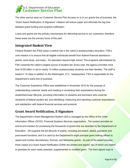<span id="page-4-0"></span>

The other service area our Customer Service Plan focuses on is in our grants line of business; the "Grant Award Notification, E-Signature" initiative will reduce paper and eliminate the lag time between grant funding and recipient notification.

Loans and grants are the primary mechanisms for delivering service to our customers; therefore these areas are the primary focus of this plan.

## **Integrated Student View**

Federal Student Aid (FSA) plays a central role in the nation's postsecondary education. FSA's core mission is to ensure that all eligible individuals benefit from federal financial assistance – grants, work-study, and loans – for education beyond high school. The programs administered by FSA comprise the nation's largest source of student aid. Every year, the agency provides more than \$150 billion in aid to nearly 14 million postsecondary students and their families. The staff is based in 10 cities in addition to the Washington, D.C., headquarters. FSA is responsible for the Department's loans line of business.

The Customer Experience Office was established in November 2010 for the purpose of understanding customer needs and meeting or exceeding their expectations during the student/borrower lifecycle, providing information to students and borrowers who could be recipients of federal student aid, and identifying, measuring and reporting customer expectations and satisfaction with federal financial services and products.

### **Grant Award Notification, ESignature**

The Department's Grant Management System (G5) is managed by the Office of the Chief Information Officer (OCIO), Financial Systems Services organization. The system provides an end-to-end solution for processing the thousands of grants that are awarded by the Department of Education. G5 supports the full lifecycle of grants, including pre-award, award, payments and post-award functions, and it is used by the Department's eight principal grant making offices to award and monitor discretionary, formula, and fellowship grants. As part of the award process, three copies of a Grant Award Notification (GAN) are printed and signed, two of which are mailed to grantees for each newly awarded, supplemented or modified grant. The third signed copy is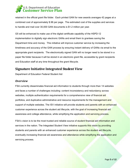<span id="page-5-0"></span>

retained in the official grant file folder. Each printed GAN for new awards averages 42 pages at a combined cost of approximately \$.96 per page. The estimated cost of the supplies and services to handle and mail over 30,000 GAN documents is \$1.2 million per year.

G5 will be enhanced to make use of the digital certificate capability of the HSPD-12 implementation to digitally sign electronic GANs and email them to grantees saving the Department time and money. This initiative will improve customer service by increasing the timeliness and accuracy of the GAN process by ensuring instant delivery of GANs via email to the appropriate grant recipients. The electronically signed GAN will no longer need to be stored in a paper file folder because it will be stored in an electronic grant file, accessible by grant recipients and Education staff at any time throughout the grant lifecycle.

## **Signature Initiative Integrated Student View**

Department of Education Federal Student Aid

#### *Overview*

FSA currently disseminates financial aid information to students through more than 14 websites and faces a number of challenges including: content inconsistency and redundancy across websites, multiple authentication requirements for a comprehensive view of financial aid portfolios, and duplicative administrative and resource requirements for the management and support of multiple websites. The ISV initiative will provide students and parents with an enhanced customer experience across the student aid lifecycle, with the goal of increasing financial aid awareness and college attendance, while simplifying the application and servicing process.

FSA's vision is to be the most trusted and reliable source of student financial aid information and services in the nation. The Integrated Student View initiative supports this vision by providing students and parents with an enhanced customer experience across the student aid lifecycle, eventually increasing financial aid awareness and attendance while simplifying the application and servicing process.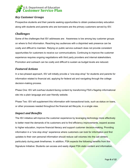<span id="page-6-0"></span>

#### *Key Customer Groups*

Prospective students and their parents seeking opportunities to obtain postsecondary education along with students and parents who are borrowers are the primary customers served by ISV.

#### *Challenges*

Some of the challenges that ISV addresses are: Awareness is low among key customer groups on where to find information. Reaching key audiences with a disjointed web presence can be costly and difficult to maintain. Relying on public service outreach does not provide consistent opportunities for customers to receive our communications. Continuing to improve the customer experience requires ongoing negotiations with third party providers and internal stakeholders. Promotion and outreach can be costly and difficult to sustain as budget levels are reduced.

#### *Featured Actions*

In a two-phased approach, ISV will initially provide a "one-stop-shop" for students and parents for information related to financial aid, applying for federal aid and navigating through the college decision-making process.

Phase One: ISV will overhaul student-facing content by transforming FSA's flagship informational site into a plain language and user friendly website.

Phase Two: ISV will supplement this information with transactional tools, such as status on loans, or other processes needed throughout the financial aid lifecycle, in a single view.

#### *Impact and Benefits*

The ISV initiative will improve the customer experience by leveraging technology more effectively to better meet the demands of its customers and to find efficiency improvements, expand access to higher education, improve financial literacy and support customer decision-making. Providing information in a "one stop shop" experience where customers can look for information and find updates to their own personal information should reduce call volumes into the call centers particularly during peak timeframes. In addition, FSA expects the following benefits from this Signature Initiative: Students can access and easily digest FSA static content and information,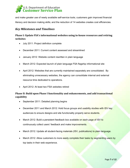<span id="page-7-0"></span>

and make greater use of newly available self-service tools; customers gain improved financial literacy and decision making skills; and the reduction of 14 websites creates cost efficiencies.

#### *Key Milestones and Timelines*

#### **Phase I: Update FSA's informational websites using inhouse resources and retiring websites**

- July 2011: Project definition complete
- December 2011: Current content assessed and streamlined
- January 2012: Website content rewritten in plain language
- March 2012: Expected launch of plain language FSA flagship informational site
- April 2012: Websites that are currently maintained separately are consolidated. By eliminating unnecessary websites, the agency can consolidate internal and external resource time dedicated to operations.
- April 2012: At least two FSA websites retired

#### **Phase II: Build upon Phase I functionality and enhancements, and add transactional capability**

- September 2011: Detailed planning begins
- December 2011 and March 2012: Hold focus groups and usability studies with ISV key audiences to ensure designs and site functionality properly serve students.
- March 2012: Build a persistent feedback box available on each page of ISV to continuously collect users' feedback and make improvements.
- March 2012: Update all student-facing materials (ISV, publications) to plain language.
- March 2012: Allow customers to more easily complete their tasks by segmenting users by top tasks in their web experience.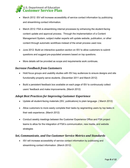## <span id="page-8-0"></span>**J.S. Department of Education<br>Iustomer Service Plan**

- March 2012: ISV will increase accessibility of service contact information by publicizing and streamlining contact information.
- March 2012: FSA is streamlining internal processes by enhancing the student-facing content update and approval process. Through the implementation of a Content Management System, subject matter experts will update website, publication, or other content through automatic workflows instead of the email process used now.
- June 2012: Build an interactive question section on ISV to allow customers to submit questions and suggest pre-populated answers based on top questions.
- More details will be provided as scope and requirements work continues.

#### *Increase Feedback from Customers*

- Hold focus groups and usability studies with ISV key audiences to ensure designs and site functionality properly serve students. (December 2011 and March 2012)
- Build a persistent feedback box available on each page of ISV to continuously collect users' feedback and make improvements. (March 2012)

#### *Adopt Best Practices for Improving Customer Experience*

- Update all student-facing materials (ISV, publications) to plain language. ( March 2012)
- Allow customers to more easily complete their tasks by segmenting users by top tasks in their web experience. (March 2012)
- Conduct weekly meetings between the Customer Experience Office and FSA project teams to allow for the integration of FSA's communication, new media, and website strategies

#### *Set, Communicate, and Use Customer Service Metrics and Standards*

• ISV will increase accessibility of service contact information by publicizing and streamlining contact information. (March 2012)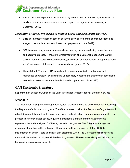# <span id="page-9-0"></span>U.S. Department of Education<br>C<mark>ustomer Service Plan</mark>

• FSA's Customer Experience Office tracks key service metrics in a monthly dashboard to easily communicate successes across and beyond the organization, beginning in September 2012.

#### *Streamline Agency Processes to Reduce Costs and Accelerate Delivery*

- Build an interactive question section on ISV to allow customers to submit questions and suggest pre-populated answers based on top questions. (June 2012)
- FSA is streamlining internal processes by enhancing the student-facing content update and approval process. Through the implementation of a Content Management System subject matter experts will update website, publication, or other content through automatic workflows instead of the email process used now. (March 2012)
- Through the ISV project, FSA is working to consolidate websites that are currently maintained separately. By eliminating unnecessary websites, the agency can consolidate internal and external resource time dedicated to operations. (June 2012)

## **GAN Electronic Signature**

Department of Education, Office of the Chief Information Officer/Financial Systems Services

#### *Overview*

The Department's G5 grants management system provides an end-to-end solution for processing the Department's thousands of grants. The GAN process provides the Department's grantees with official documentation of their Federal grant award and instructions for grants management. This process is currently paper-based, requiring a traditional signature from the Department's representative and the signed GAN being mailed to the grantee. The G5 grants management system will be enhanced to make use of the digital certificate capability of the HSPD-12 implementation and PIV card to digitally sign electronic GANs. The G5 system will also provide the capability to electronically email the GAN to grantees. The electronically signed GAN will also be stored in an electronic grant file.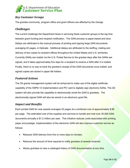<span id="page-10-0"></span>

#### *Key Customer Groups*

The grantee community, program office and grant officers are affected by the change.

#### *Challenges*

The current challenge the Department faces in servicing these customer groups is the lag time between grant funding and recipient notification. The GAN process is paper-based and slow. Delays are attributed to the manual process of printing and signing large GAN documents averaging 42 pages, in triplicate. Additional delays are attributed to the stuffing, mailing and delivery of two copies to recipient offices throughout the United States and U.S. territories. Currently GANs are mailed via the U.S. Postal Service to the grantee days after the GANs are signed, and it takes approximately five days for a recipient to receive a GAN after it is mailed. Finally, there is no way to track the grantee's receipt of the GAN documents once mailed, and signed copies are stored in paper file folders.

#### *Featured Actions*

The G5 grants management system will be enhanced to make use of the digital certificate capability of the HSPD-12 implementation and PIV card to digitally sign electronic GANs. The G5 system will also provide the capability to electronically email the GAN to grantees. The electronically signed GAN will also be stored in an electronic grant file.

#### *Impact and Benefits*

Each printed GAN for new awards averages 42 pages at a combined cost of approximately \$.96 per page. The estimated cost of the supplies and services to handle and mail over 30,000 GAN documents annually is \$1.2 million per year. This initiative reduces costs associated with printing, paper and postage. Implementation of the electronic GAN will also improve customer service as follows:

- Reduces GAN delivery from five or more days to minutes.
- Reduces the amount of time required to notify grantees of awards received.
- Allows grantees to view a cataloged history of GAN documentation at any time.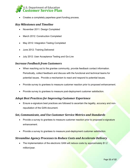<span id="page-11-0"></span>

• Creates a completely paperless grant funding process.

#### *Key Milestones and Timeline*

- November 2011: Design Completed
- March 2012: Construction Completed
- May 2012: Integration Testing Completed
- June 2012: Training Delivered
- July 2012: User Acceptance Testing and Go-Live

#### *Increase Feedback from Customers*

- When reaching out to the grantee community, provide feedback contact information. Periodically, collect feedback and discuss with the functional and technical teams for potential issues. Provide a mechanism to react and respond to potential issues.
- Provide survey to grantees to measure customer reaction prior to proposed enhancement.
- Provide survey to grantees to measure post-deployment customer satisfaction.

#### *Adopt Best Practices for Improving Customer Experience*

• Ensure e-signature best practices are followed to ascertain the legality, accuracy and nonrepudiation of the GAN document.

#### *Set, Communicate, and Use Customer Service Metrics and Standards*

- Provide a survey to grantees to measure customer reaction prior to proposed e-signature enhancement.
- Provide a survey to grantees to measure post-deployment customer satisfaction.

#### *Streamline Agency Processes to Reduce Costs and Accelerate Delivery*

The implementation of the electronic GAN will reduce costs by approximately \$1.2 million/year.